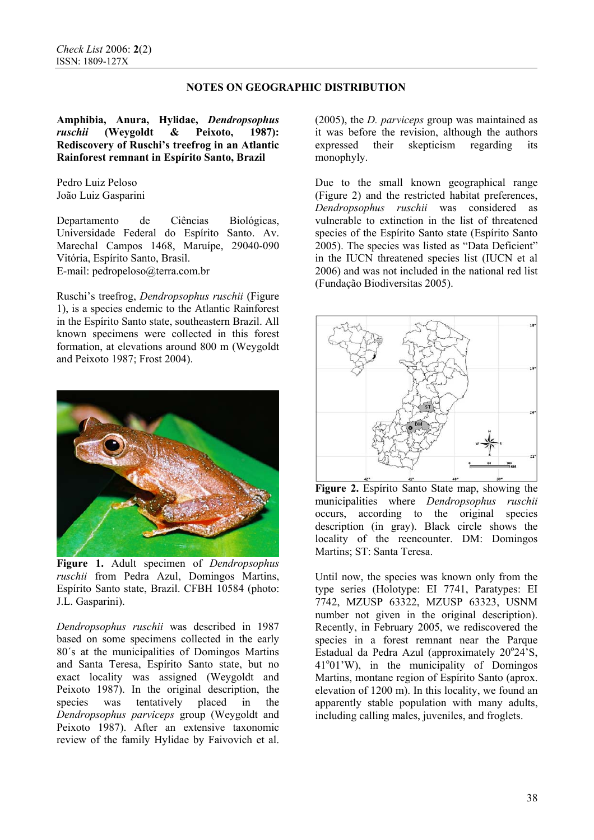### **NOTES ON GEOGRAPHIC DISTRIBUTION**

**Amphibia, Anura, Hylidae,** *Dendropsophus ruschii* **(Weygoldt & Peixoto, 1987): Rediscovery of Ruschi's treefrog in an Atlantic Rainforest remnant in Espírito Santo, Brazil** 

Pedro Luiz Peloso João Luiz Gasparini

Departamento de Ciências Biológicas, Universidade Federal do Espírito Santo. Av. Marechal Campos 1468, Maruípe, 29040-090 Vitória, Espírito Santo, Brasil. E-mail: pedropeloso@terra.com.br

Ruschi's treefrog, *Dendropsophus ruschii* (Figure 1), is a species endemic to the Atlantic Rainforest in the Espírito Santo state, southeastern Brazil. All known specimens were collected in this forest formation, at elevations around 800 m (Weygoldt and Peixoto 1987; Frost 2004).



**Figure 1.** Adult specimen of *Dendropsophus ruschii* from Pedra Azul, Domingos Martins, Espírito Santo state, Brazil. CFBH 10584 (photo: J.L. Gasparini).

*Dendropsophus ruschii* was described in 1987 based on some specimens collected in the early 80´s at the municipalities of Domingos Martins and Santa Teresa, Espírito Santo state, but no exact locality was assigned (Weygoldt and Peixoto 1987). In the original description, the species was tentatively placed in the *Dendropsophus parviceps* group (Weygoldt and Peixoto 1987). After an extensive taxonomic review of the family Hylidae by Faivovich et al.

(2005), the *D. parviceps* group was maintained as it was before the revision, although the authors expressed their skepticism regarding its monophyly.

Due to the small known geographical range (Figure 2) and the restricted habitat preferences, *Dendropsophus ruschii* was considered as vulnerable to extinction in the list of threatened species of the Espírito Santo state (Espírito Santo 2005). The species was listed as "Data Deficient" in the IUCN threatened species list (IUCN et al 2006) and was not included in the national red list (Fundação Biodiversitas 2005).



**Figure 2.** Espírito Santo State map, showing the municipalities where *Dendropsophus ruschii* occurs, according to the original species description (in gray). Black circle shows the locality of the reencounter. DM: Domingos Martins; ST: Santa Teresa.

Until now, the species was known only from the type series (Holotype: EI 7741, Paratypes: EI 7742, MZUSP 63322, MZUSP 63323, USNM number not given in the original description). Recently, in February 2005, we rediscovered the species in a forest remnant near the Parque Estadual da Pedra Azul (approximately 20°24'S, 41°01'W), in the municipality of Domingos Martins, montane region of Espírito Santo (aprox. elevation of 1200 m). In this locality, we found an apparently stable population with many adults, including calling males, juveniles, and froglets.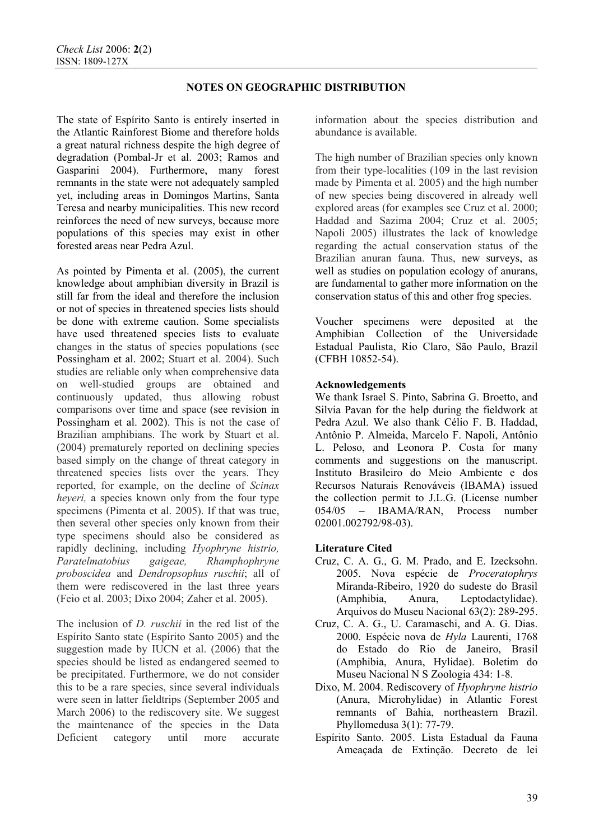## **NOTES ON GEOGRAPHIC DISTRIBUTION**

The state of Espírito Santo is entirely inserted in the Atlantic Rainforest Biome and therefore holds a great natural richness despite the high degree of degradation (Pombal-Jr et al. 2003; Ramos and Gasparini 2004). Furthermore, many forest remnants in the state were not adequately sampled yet, including areas in Domingos Martins, Santa Teresa and nearby municipalities. This new record reinforces the need of new surveys, because more populations of this species may exist in other forested areas near Pedra Azul.

As pointed by Pimenta et al. (2005), the current knowledge about amphibian diversity in Brazil is still far from the ideal and therefore the inclusion or not of species in threatened species lists should be done with extreme caution. Some specialists have used threatened species lists to evaluate changes in the status of species populations (see Possingham et al. 2002; Stuart et al. 2004). Such studies are reliable only when comprehensive data on well-studied groups are obtained and continuously updated, thus allowing robust comparisons over time and space (see revision in Possingham et al. 2002). This is not the case of Brazilian amphibians. The work by Stuart et al. (2004) prematurely reported on declining species based simply on the change of threat category in threatened species lists over the years. They reported, for example, on the decline of *Scinax heveri*, a species known only from the four type specimens (Pimenta et al. 2005). If that was true, then several other species only known from their type specimens should also be considered as rapidly declining, including *Hyophryne histrio, Paratelmatobius gaigeae, Rhamphophryne proboscidea* and *Dendropsophus ruschii*; all of them were rediscovered in the last three years (Feio et al. 2003; Dixo 2004; Zaher et al. 2005).

The inclusion of *D. ruschii* in the red list of the Espírito Santo state (Espírito Santo 2005) and the suggestion made by IUCN et al. (2006) that the species should be listed as endangered seemed to be precipitated. Furthermore, we do not consider this to be a rare species, since several individuals were seen in latter fieldtrips (September 2005 and March 2006) to the rediscovery site. We suggest the maintenance of the species in the Data Deficient category until more accurate

information about the species distribution and abundance is available.

The high number of Brazilian species only known from their type-localities (109 in the last revision made by Pimenta et al. 2005) and the high number of new species being discovered in already well explored areas (for examples see Cruz et al. 2000; Haddad and Sazima 2004; Cruz et al. 2005; Napoli 2005) illustrates the lack of knowledge regarding the actual conservation status of the Brazilian anuran fauna. Thus, new surveys, as well as studies on population ecology of anurans, are fundamental to gather more information on the conservation status of this and other frog species.

Voucher specimens were deposited at the Amphibian Collection of the Universidade Estadual Paulista, Rio Claro, São Paulo, Brazil (CFBH 10852-54).

# **Acknowledgements**

We thank Israel S. Pinto, Sabrina G. Broetto, and Silvia Pavan for the help during the fieldwork at Pedra Azul. We also thank Célio F. B. Haddad, Antônio P. Almeida, Marcelo F. Napoli, Antônio L. Peloso, and Leonora P. Costa for many comments and suggestions on the manuscript. Instituto Brasileiro do Meio Ambiente e dos Recursos Naturais Renováveis (IBAMA) issued the collection permit to J.L.G. (License number 054/05 – IBAMA/RAN, Process number 02001.002792/98-03).

### **Literature Cited**

- Cruz, C. A. G., G. M. Prado, and E. Izecksohn. 2005. Nova espécie de *Proceratophrys*  Miranda-Ribeiro, 1920 do sudeste do Brasil (Amphibia, Anura, Leptodactylidae). Arquivos do Museu Nacional 63(2): 289-295.
- Cruz, C. A. G., U. Caramaschi, and A. G. Dias. 2000. Espécie nova de *Hyla* Laurenti, 1768 do Estado do Rio de Janeiro, Brasil (Amphibia, Anura, Hylidae). Boletim do Museu Nacional N S Zoologia 434: 1-8.
- Dixo, M. 2004. Rediscovery of *Hyophryne histrio* (Anura, Microhylidae) in Atlantic Forest remnants of Bahia, northeastern Brazil. Phyllomedusa 3(1): 77-79.
- Espírito Santo. 2005. Lista Estadual da Fauna Ameaçada de Extinção. Decreto de lei